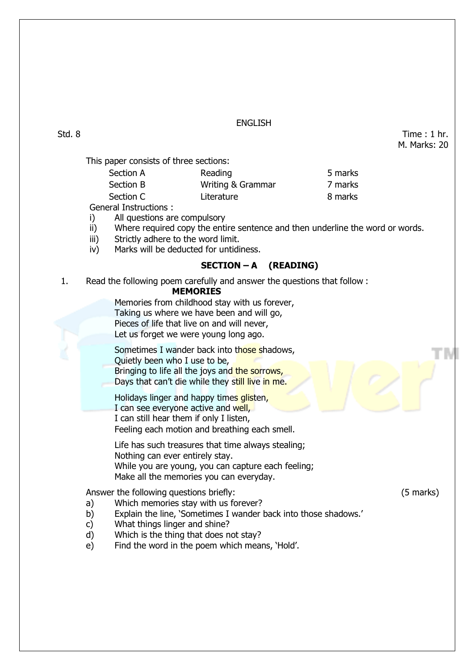### ENGLISH

Std. 8 Time : 1 hr. M. Marks: 20

This paper consists of three sections:

| Reading           | 5 marks |
|-------------------|---------|
| Writing & Grammar | 7 marks |
| Literature        | 8 marks |
|                   |         |

General Instructions :

- i) All questions are compulsory
- ii) Where required copy the entire sentence and then underline the word or words.
- iii) Strictly adhere to the word limit.
- iv) Marks will be deducted for untidiness.

## **SECTION – A (READING)**

1. Read the following poem carefully and answer the questions that follow :

#### **MEMORIES**

Memories from childhood stay with us forever, Taking us where we have been and will go, Pieces of life that live on and will never, Let us forget we were young long ago.

Sometimes I wander back into those shadows, Quietly been who I use to be, Bringing to life all the joys and the sorrows, Days that can't die while they still live in me.

Holidays linger and happy times glisten,

I can see everyone active and well.

I can still hear them if only I listen,

Feeling each motion and breathing each smell.

Life has such treasures that time always stealing; Nothing can ever entirely stay. While you are young, you can capture each feeling; Make all the memories you can everyday.

Answer the following questions briefly: (5 marks)

- a) Which memories stay with us forever?
- b) Explain the line, 'Sometimes I wander back into those shadows.'
- c) What things linger and shine?
- d) Which is the thing that does not stay?
- e) Find the word in the poem which means, 'Hold'.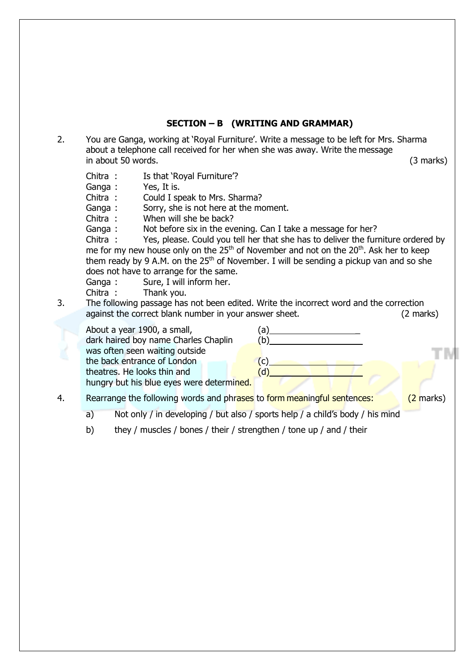### **SECTION – B (WRITING AND GRAMMAR)**

2. You are Ganga, working at 'Royal Furniture'. Write a message to be left for Mrs. Sharma about a telephone call received for her when she was away. Write the message in about 50 words. (3 marks)

- Chitra : Is that 'Royal Furniture'?
- Ganga : Yes, It is.
- Chitra : Could I speak to Mrs. Sharma?
- Ganga : Sorry, she is not here at the moment.
- Chitra : When will she be back?
- Ganga : Not before six in the evening. Can I take a message for her?

Chitra : Yes, please. Could you tell her that she has to deliver the furniture ordered by me for my new house only on the 25<sup>th</sup> of November and not on the 20<sup>th</sup>. Ask her to keep them ready by 9 A.M. on the  $25<sup>th</sup>$  of November. I will be sending a pickup van and so she does not have to arrange for the same.

- Ganga : Sure, I will inform her.
- Chitra : Thank you.
- 3. The following passage has not been edited. Write the incorrect word and the correction against the correct blank number in your answer sheet. (2 marks)

| About a year 1900, a small,<br>dark haired boy name Charles Chaplin | a) |
|---------------------------------------------------------------------|----|
| was often seen waiting outside                                      |    |
| the back entrance of London                                         |    |
| theatres. He looks thin and                                         |    |
| hungry but his blue eyes were determined.                           |    |
|                                                                     |    |

- 4. Rearrange the following words and phrases to form meaningful sentences: (2 marks)
	- a) Not only / in developing / but also / sports help / a child's body / his mind
	- b) they / muscles / bones / their / strengthen / tone up / and / their